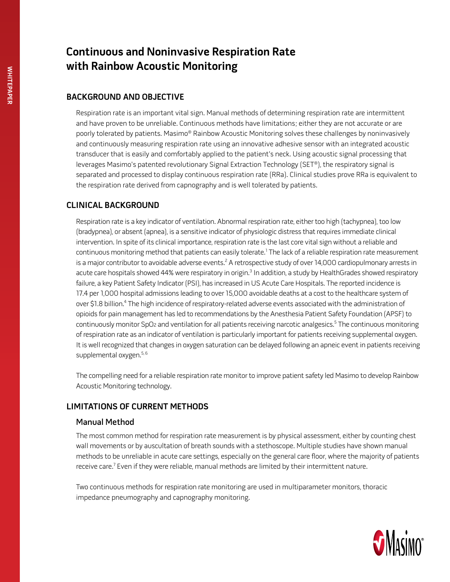# **Continuous and Noninvasive Respiration Rate with Rainbow Acoustic Monitoring**

### **Background and objective**

Respiration rate is an important vital sign. Manual methods of determining respiration rate are intermittent and have proven to be unreliable. Continuous methods have limitations; either they are not accurate or are poorly tolerated by patients. Masimo® Rainbow Acoustic Monitoring solves these challenges by noninvasively and continuously measuring respiration rate using an innovative adhesive sensor with an integrated acoustic transducer that is easily and comfortably applied to the patient's neck. Using acoustic signal processing that leverages Masimo's patented revolutionary Signal Extraction Technology (SET®), the respiratory signal is separated and processed to display continuous respiration rate (RRa). Clinical studies prove RRa is equivalent to the respiration rate derived from capnography and is well tolerated by patients.

## **Clinical Background**

Respiration rate is a key indicator of ventilation. Abnormal respiration rate, either too high (tachypnea), too low (bradypnea), or absent (apnea), is a sensitive indicator of physiologic distress that requires immediate clinical intervention. In spite of its clinical importance, respiration rate is the last core vital sign without a reliable and continuous monitoring method that patients can easily tolerate.<sup>1</sup> The lack of a reliable respiration rate measurement is a major contributor to avoidable adverse events. $^2$  A retrospective study of over 14,000 cardiopulmonary arrests in acute care hospitals showed 44% were respiratory in origin.<sup>3</sup> In addition, a study by HealthGrades showed respiratory failure, a key Patient Safety Indicator (PSI), has increased in US Acute Care Hospitals. The reported incidence is 17.4 per 1,000 hospital admissions leading to over 15,000 avoidable deaths at a cost to the healthcare system of over \$1.8 billion.<sup>4</sup> The high incidence of respiratory-related adverse events associated with the administration of opioids for pain management has led to recommendations by the Anesthesia Patient Safety Foundation (APSF) to continuously monitor SpO2 and ventilation for all patients receiving narcotic analgesics.<sup>5</sup> The continuous monitoring of respiration rate as an indicator of ventilation is particularly important for patients receiving supplemental oxygen. It is well recognized that changes in oxygen saturation can be delayed following an apneic event in patients receiving supplemental oxygen.<sup>5, 6</sup>

The compelling need for a reliable respiration rate monitor to improve patient safety led Masimo to develop Rainbow Acoustic Monitoring technology.

## **Limitations of Current Methods**

#### Manual Method

The most common method for respiration rate measurement is by physical assessment, either by counting chest wall movements or by auscultation of breath sounds with a stethoscope. Multiple studies have shown manual methods to be unreliable in acute care settings, especially on the general care floor, where the majority of patients receive care. $^7$  Even if they were reliable, manual methods are limited by their intermittent nature.

Two continuous methods for respiration rate monitoring are used in multiparameter monitors, thoracic impedance pneumography and capnography monitoring.

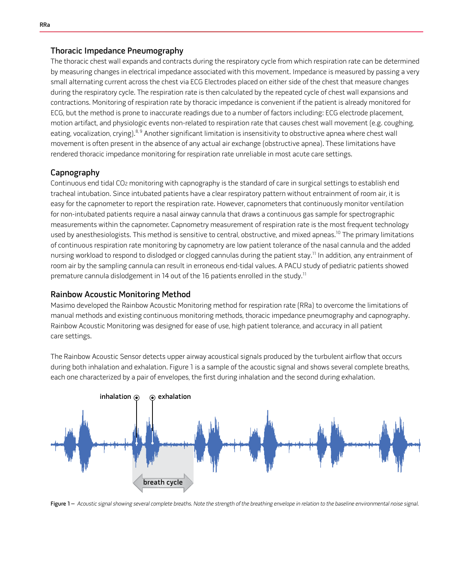#### Thoracic Impedance Pneumography

The thoracic chest wall expands and contracts during the respiratory cycle from which respiration rate can be determined by measuring changes in electrical impedance associated with this movement. Impedance is measured by passing a very small alternating current across the chest via ECG Electrodes placed on either side of the chest that measure changes during the respiratory cycle. The respiration rate is then calculated by the repeated cycle of chest wall expansions and contractions. Monitoring of respiration rate by thoracic impedance is convenient if the patient is already monitored for ECG, but the method is prone to inaccurate readings due to a number of factors including: ECG electrode placement, motion artifact, and physiologic events non-related to respiration rate that causes chest wall movement (e.g. coughing, eating, vocalization, crying).<sup>8, 9</sup> Another significant limitation is insensitivity to obstructive apnea where chest wall movement is often present in the absence of any actual air exchange (obstructive apnea). These limitations have rendered thoracic impedance monitoring for respiration rate unreliable in most acute care settings.

#### Capnography

Continuous end tidal CO2 monitoring with capnography is the standard of care in surgical settings to establish end tracheal intubation. Since intubated patients have a clear respiratory pattern without entrainment of room air, it is easy for the capnometer to report the respiration rate. However, capnometers that continuously monitor ventilation for non-intubated patients require a nasal airway cannula that draws a continuous gas sample for spectrographic measurements within the capnometer. Capnometry measurement of respiration rate is the most frequent technology used by anesthesiologists. This method is sensitive to central, obstructive, and mixed apneas.<sup>10</sup> The primary limitations of continuous respiration rate monitoring by capnometry are low patient tolerance of the nasal cannula and the added nursing workload to respond to dislodged or clogged cannulas during the patient stay.<sup>11</sup> In addition, any entrainment of room air by the sampling cannula can result in erroneous end-tidal values. A PACU study of pediatric patients showed premature cannula dislodgement in 14 out of the 16 patients enrolled in the study.<sup>11</sup>

#### Rainbow Acoustic Monitoring Method

Masimo developed the Rainbow Acoustic Monitoring method for respiration rate (RRa) to overcome the limitations of manual methods and existing continuous monitoring methods, thoracic impedance pneumography and capnography. Rainbow Acoustic Monitoring was designed for ease of use, high patient tolerance, and accuracy in all patient care settings.

The Rainbow Acoustic Sensor detects upper airway acoustical signals produced by the turbulent airflow that occurs during both inhalation and exhalation. Figure 1 is a sample of the acoustic signal and shows several complete breaths, each one characterized by a pair of envelopes, the first during inhalation and the second during exhalation.



Figure 1 - Acoustic signal showing several complete breaths. Note the strength of the breathing envelope in relation to the baseline environmental noise signal.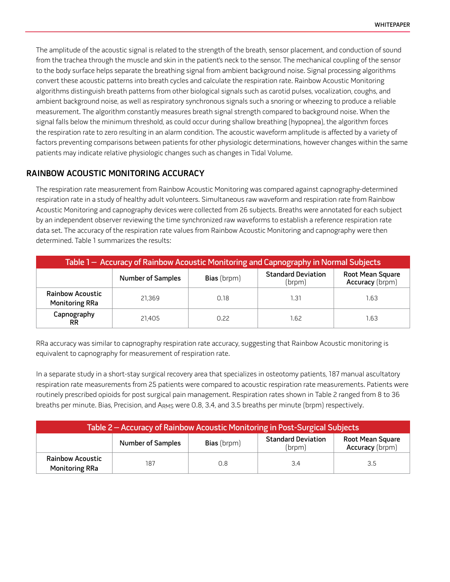The amplitude of the acoustic signal is related to the strength of the breath, sensor placement, and conduction of sound from the trachea through the muscle and skin in the patient's neck to the sensor. The mechanical coupling of the sensor to the body surface helps separate the breathing signal from ambient background noise. Signal processing algorithms convert these acoustic patterns into breath cycles and calculate the respiration rate. Rainbow Acoustic Monitoring algorithms distinguish breath patterns from other biological signals such as carotid pulses, vocalization, coughs, and ambient background noise, as well as respiratory synchronous signals such a snoring or wheezing to produce a reliable measurement. The algorithm constantly measures breath signal strength compared to background noise. When the signal falls below the minimum threshold, as could occur during shallow breathing (hypopnea), the algorithm forces the respiration rate to zero resulting in an alarm condition. The acoustic waveform amplitude is affected by a variety of factors preventing comparisons between patients for other physiologic determinations, however changes within the same patients may indicate relative physiologic changes such as changes in Tidal Volume.

#### **Rainbow Acoustic Monitoring Accuracy**

The respiration rate measurement from Rainbow Acoustic Monitoring was compared against capnography-determined respiration rate in a study of healthy adult volunteers. Simultaneous raw waveform and respiration rate from Rainbow Acoustic Monitoring and capnography devices were collected from 26 subjects. Breaths were annotated for each subject by an independent observer reviewing the time synchronized raw waveforms to establish a reference respiration rate data set. The accuracy of the respiration rate values from Rainbow Acoustic Monitoring and capnography were then determined. Table 1 summarizes the results:

| Table 1 - Accuracy of Rainbow Acoustic Monitoring and Capnography in Normal Subjects |                          |                    |                                     |                                            |  |  |
|--------------------------------------------------------------------------------------|--------------------------|--------------------|-------------------------------------|--------------------------------------------|--|--|
|                                                                                      | <b>Number of Samples</b> | <b>Bias</b> (brpm) | <b>Standard Deviation</b><br>(brpm) | Root Mean Square<br><b>Accuracy</b> (brpm) |  |  |
| <b>Rainbow Acoustic</b><br><b>Monitoring RRa</b>                                     | 21.369                   | 0.18               | 1.31                                | 1.63                                       |  |  |
| Capnography<br>RR.                                                                   | 21.405                   | 0.22               | 1.62                                | 1.63                                       |  |  |

RRa accuracy was similar to capnography respiration rate accuracy, suggesting that Rainbow Acoustic monitoring is equivalent to capnography for measurement of respiration rate.

In a separate study in a short-stay surgical recovery area that specializes in osteotomy patients, 187 manual ascultatory respiration rate measurements from 25 patients were compared to acoustic respiration rate measurements. Patients were routinely prescribed opioids for post surgical pain management. Respiration rates shown in Table 2 ranged from 8 to 36 breaths per minute. Bias, Precision, and ARMS were 0.8, 3.4, and 3.5 breaths per minute (brpm) respectively.

| Table 2 – Accuracy of Rainbow Acoustic Monitoring in Post-Surgical Subjects |                          |                    |                                     |                                            |  |  |
|-----------------------------------------------------------------------------|--------------------------|--------------------|-------------------------------------|--------------------------------------------|--|--|
|                                                                             | <b>Number of Samples</b> | <b>Bias</b> (brpm) | <b>Standard Deviation</b><br>(brom) | Root Mean Square<br><b>Accuracy</b> (brpm) |  |  |
| <b>Rainbow Acoustic</b><br><b>Monitoring RRa</b>                            | 187                      | 0.8                | 3.4                                 | 3.5                                        |  |  |